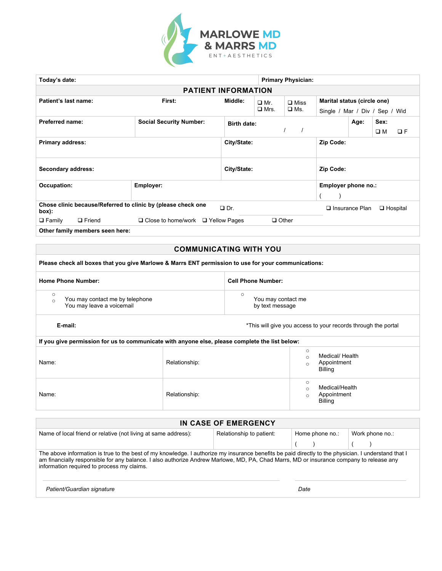

| Today's date:<br><b>Primary Physician:</b>                                                         |                            |                          |                    |                             |                                |                       |             |                 |
|----------------------------------------------------------------------------------------------------|----------------------------|--------------------------|--------------------|-----------------------------|--------------------------------|-----------------------|-------------|-----------------|
|                                                                                                    | <b>PATIENT INFORMATION</b> |                          |                    |                             |                                |                       |             |                 |
| Patient's last name:                                                                               | Middle:                    | $\Box$ Mr.               | $\square$ Miss     | Marital status (circle one) |                                |                       |             |                 |
|                                                                                                    |                            |                          | $\Box$ Mrs.        | $\square$ Ms.               | Single / Mar / Div / Sep / Wid |                       |             |                 |
| <b>Preferred name:</b><br><b>Social Security Number:</b>                                           |                            |                          | <b>Birth date:</b> |                             |                                | Age:                  | Sex:        |                 |
|                                                                                                    |                            |                          |                    |                             |                                |                       | $\square$ M | QF              |
| <b>Primary address:</b>                                                                            |                            | City/State:              |                    |                             | Zip Code:                      |                       |             |                 |
|                                                                                                    |                            |                          |                    |                             |                                |                       |             |                 |
|                                                                                                    |                            |                          |                    |                             |                                |                       |             |                 |
| Secondary address:                                                                                 |                            | Zip Code:<br>City/State: |                    |                             |                                |                       |             |                 |
| Occupation:<br>Employer:                                                                           |                            |                          |                    |                             | Employer phone no.:            |                       |             |                 |
|                                                                                                    |                            |                          |                    |                             |                                |                       |             |                 |
| Chose clinic because/Referred to clinic by (please check one<br>$\Box$ Dr.<br>box):                |                            |                          |                    |                             |                                | $\Box$ Insurance Plan |             | $\Box$ Hospital |
| $\Box$ Other<br>$\square$ Family<br>$\Box$ Friend<br>$\Box$ Close to home/work $\Box$ Yellow Pages |                            |                          |                    |                             |                                |                       |             |                 |
| Other family mambers seen here:                                                                    |                            |                          |                    |                             |                                |                       |             |                 |

**Other family members seen here:** 

#### **COMMUNICATING WITH YOU**

#### Please check all boxes that you give Marlowe & Marrs ENT permission to use for your communications:

| <b>Home Phone Number:</b>       | <b>Cell Phone Number:</b> |
|---------------------------------|---------------------------|
| You may contact me by telephone | You may contact me        |
| You may leave a voicemail       | by text message           |

**E-mail: E-mail: E-mail: E-mail: E-mail: E-mail: E-mail: E-mail: E-mail: E-mail: E-mail: E-mail: E-mail: E-mail: E-mail: E-mail: E-mail: E-mail: E-mail: E-mail: E-mail: E-mail: E** 

| If you give permission for us to communicate with anyone else, please complete the list below: |               |                                           |  |  |  |
|------------------------------------------------------------------------------------------------|---------------|-------------------------------------------|--|--|--|
| Name:                                                                                          | Relationship: | Medical/ Health<br>Appointment<br>Billing |  |  |  |
| Name:                                                                                          | Relationship: | Medical/Health<br>Appointment<br>Billing  |  |  |  |

| IN CASE OF EMERGENCY                                                                                                                                                                                                                                                                                                                         |  |      |  |  |  |  |
|----------------------------------------------------------------------------------------------------------------------------------------------------------------------------------------------------------------------------------------------------------------------------------------------------------------------------------------------|--|------|--|--|--|--|
| Relationship to patient:<br>Name of local friend or relative (not living at same address):<br>Home phone no.:<br>Work phone no.:                                                                                                                                                                                                             |  |      |  |  |  |  |
|                                                                                                                                                                                                                                                                                                                                              |  |      |  |  |  |  |
| The above information is true to the best of my knowledge. I authorize my insurance benefits be paid directly to the physician. I understand that I<br>am financially responsible for any balance. I also authorize Andrew Marlowe, MD, PA, Chad Marrs, MD or insurance company to release any<br>information required to process my claims. |  |      |  |  |  |  |
| Patient/Guardian signature                                                                                                                                                                                                                                                                                                                   |  | Date |  |  |  |  |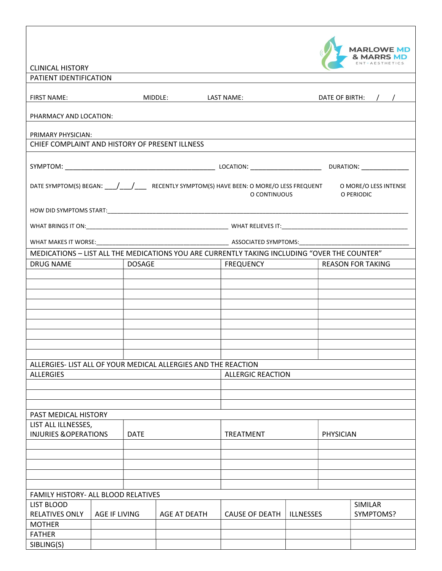|                                                |               |               |                                                                |                                                                                                  |                  |           | <b>MARLOWE MD</b>                   |
|------------------------------------------------|---------------|---------------|----------------------------------------------------------------|--------------------------------------------------------------------------------------------------|------------------|-----------|-------------------------------------|
| <b>CLINICAL HISTORY</b>                        |               |               |                                                                |                                                                                                  |                  |           |                                     |
| PATIENT IDENTIFICATION                         |               |               |                                                                |                                                                                                  |                  |           |                                     |
|                                                |               |               |                                                                |                                                                                                  |                  |           |                                     |
| <b>FIRST NAME:</b>                             |               |               | MIDDLE:<br><b>LAST NAME:</b>                                   |                                                                                                  |                  |           | DATE OF BIRTH: / /                  |
| PHARMACY AND LOCATION:                         |               |               |                                                                |                                                                                                  |                  |           |                                     |
| PRIMARY PHYSICIAN:                             |               |               |                                                                |                                                                                                  |                  |           |                                     |
| CHIEF COMPLAINT AND HISTORY OF PRESENT ILLNESS |               |               |                                                                |                                                                                                  |                  |           |                                     |
|                                                |               |               |                                                                |                                                                                                  |                  |           |                                     |
|                                                |               |               |                                                                |                                                                                                  |                  |           |                                     |
|                                                |               |               |                                                                | DATE SYMPTOM(S) BEGAN: /// RECENTLY SYMPTOM(S) HAVE BEEN: O MORE/O LESS FREQUENT<br>O CONTINUOUS |                  |           | O MORE/O LESS INTENSE<br>O PERIODIC |
|                                                |               |               |                                                                |                                                                                                  |                  |           |                                     |
|                                                |               |               |                                                                |                                                                                                  |                  |           |                                     |
|                                                |               |               |                                                                |                                                                                                  |                  |           |                                     |
|                                                |               |               |                                                                | MEDICATIONS - LIST ALL THE MEDICATIONS YOU ARE CURRENTLY TAKING INCLUDING "OVER THE COUNTER"     |                  |           |                                     |
| <b>DRUG NAME</b>                               |               | <b>DOSAGE</b> |                                                                | <b>FREQUENCY</b>                                                                                 |                  |           | <b>REASON FOR TAKING</b>            |
|                                                |               |               |                                                                |                                                                                                  |                  |           |                                     |
|                                                |               |               |                                                                |                                                                                                  |                  |           |                                     |
|                                                |               |               |                                                                |                                                                                                  |                  |           |                                     |
|                                                |               |               |                                                                |                                                                                                  |                  |           |                                     |
|                                                |               |               |                                                                |                                                                                                  |                  |           |                                     |
|                                                |               |               |                                                                |                                                                                                  |                  |           |                                     |
|                                                |               |               |                                                                |                                                                                                  |                  |           |                                     |
|                                                |               |               |                                                                |                                                                                                  |                  |           |                                     |
|                                                |               |               | ALLERGIES- LIST ALL OF YOUR MEDICAL ALLERGIES AND THE REACTION |                                                                                                  |                  |           |                                     |
| <b>ALLERGIES</b>                               |               |               |                                                                | <b>ALLERGIC REACTION</b>                                                                         |                  |           |                                     |
|                                                |               |               |                                                                |                                                                                                  |                  |           |                                     |
|                                                |               |               |                                                                |                                                                                                  |                  |           |                                     |
|                                                |               |               |                                                                |                                                                                                  |                  |           |                                     |
| PAST MEDICAL HISTORY                           |               |               |                                                                |                                                                                                  |                  |           |                                     |
| LIST ALL ILLNESSES,                            |               |               |                                                                |                                                                                                  |                  |           |                                     |
| <b>INJURIES &amp; OPERATIONS</b>               |               | <b>DATE</b>   |                                                                | <b>TREATMENT</b>                                                                                 |                  | PHYSICIAN |                                     |
|                                                |               |               |                                                                |                                                                                                  |                  |           |                                     |
|                                                |               |               |                                                                |                                                                                                  |                  |           |                                     |
|                                                |               |               |                                                                |                                                                                                  |                  |           |                                     |
|                                                |               |               |                                                                |                                                                                                  |                  |           |                                     |
| FAMILY HISTORY- ALL BLOOD RELATIVES            |               |               |                                                                |                                                                                                  |                  |           |                                     |
| LIST BLOOD                                     |               |               |                                                                |                                                                                                  |                  |           | <b>SIMILAR</b>                      |
| <b>RELATIVES ONLY</b>                          | AGE IF LIVING |               | AGE AT DEATH                                                   | <b>CAUSE OF DEATH</b>                                                                            | <b>ILLNESSES</b> |           | SYMPTOMS?                           |
| <b>MOTHER</b>                                  |               |               |                                                                |                                                                                                  |                  |           |                                     |
| <b>FATHER</b>                                  |               |               |                                                                |                                                                                                  |                  |           |                                     |
| SIBLING(S)                                     |               |               |                                                                |                                                                                                  |                  |           |                                     |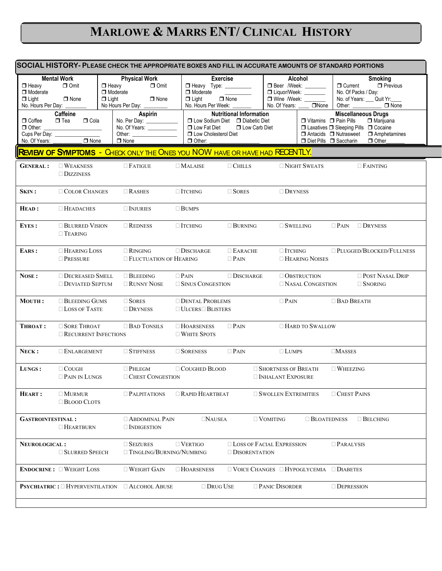# **MARLOWE & MARRS ENT/ CLINICAL HISTORY**

| SOCIAL HISTORY- PLEASE CHECK THE APPROPRIATE BOXES AND FILL IN ACCURATE AMOUNTS OF STANDARD PORTIONS |                                                                                                 |                                                 |                                                                                          |                            |                                                                                    |                                                                                               |                                                                                                         |                                                                                               |                                                                      |                                                                            |
|------------------------------------------------------------------------------------------------------|-------------------------------------------------------------------------------------------------|-------------------------------------------------|------------------------------------------------------------------------------------------|----------------------------|------------------------------------------------------------------------------------|-----------------------------------------------------------------------------------------------|---------------------------------------------------------------------------------------------------------|-----------------------------------------------------------------------------------------------|----------------------------------------------------------------------|----------------------------------------------------------------------------|
| $\Box$ Heavy<br>□ Moderate<br>$\Box$ Light<br>No. Hours Per Day:                                     | <b>Mental Work</b><br>$\Box$ Omit<br>$\Box$ None                                                | $\Box$ Heavy<br>$\Box$ Moderate<br>$\Box$ Light | <b>Physical Work</b><br>No Hours Per Day: _________                                      | $\Box$ Omit<br>$\Box$ None | Heavy Type: ________<br>$\Box$ Moderate<br>$\Box$ Light<br>No. Hours Per Week: _   | <b>Exercise</b><br>$\Box$ None                                                                | Alcohol<br><b>D</b> Beer /Week: ______<br>□ Liquor/Week: _______<br>Wine /Week: ______<br>No. Of Years: | $\Box$ None                                                                                   | O Current<br>No. Of Packs / Day:<br>Other: $\qquad \qquad$           | <b>Smoking</b><br>$\Box$ Previous<br>No. of Years: Cuit Yr:<br>$\Box$ None |
| $\Box$ Coffee<br>$\Box$ Other:<br>No. Of Years:                                                      | <b>Caffeine</b><br>$\Box$ Tea<br>$\Box$ Cola<br>Cups Per Day: __________________<br>$\Box$ None |                                                 | Aspirin<br>No. Per Day: ___________<br>No. Of Years: __________<br>Other:<br>$\Box$ None |                            | $\Box$ Low Fat Diet<br><b>ID</b> Low Cholesterol Diet<br>$\Box$ Other:             | <b>Nutritional Information</b><br>□ Low Sodium Diet □ Diabetic Diet<br><b>D</b> Low Carb Diet |                                                                                                         | $\Box$ Vitamins $\Box$ Pain Pills<br>□ Antacids □ Nutrasweet<br>Diet Pills <b>D</b> Saccharin | <b>Miscellaneous Drugs</b><br>□ Laxatives □ Sleeping Pills □ Cocaine | $\Box$ Marijuana<br>$\Box$ Amphetamines<br>$\Box$ Other                    |
|                                                                                                      |                                                                                                 |                                                 |                                                                                          |                            | <b>REVIEW OF SYMPTOMS</b> - CHECK ONLY THE ONES YOU NOW HAVE OR HAVE HAD RECENTLY. |                                                                                               |                                                                                                         |                                                                                               |                                                                      |                                                                            |
| <b>GENERAL:</b>                                                                                      | $\Box$ WEAKNESS<br>$\Box$ DIZZINESS                                                             |                                                 | $\Box$ Fatigue                                                                           |                            | $\Box$ Malaise                                                                     | $\Box$ CHILLS                                                                                 |                                                                                                         | $\Box$ NIGHT SWEATS                                                                           |                                                                      | $\Box$ FAINTING                                                            |
| Skin :                                                                                               | <b>COLOR CHANGES</b>                                                                            |                                                 | $\Box$ RASHES                                                                            |                            | $\Box$ ITCHING                                                                     | $\Box$ SORES                                                                                  | $\Box$ DRYNESS                                                                                          |                                                                                               |                                                                      |                                                                            |
| HEAD:                                                                                                | $\Box$ Headaches                                                                                |                                                 | $\Box$ Injuries                                                                          |                            | $\Box$ BUMPS                                                                       |                                                                                               |                                                                                                         |                                                                                               |                                                                      |                                                                            |
| EYES:                                                                                                | <b>BLURRED VISION</b><br>$\Box$ TEARING                                                         |                                                 | $\Box$ REDNESS                                                                           |                            | $\Box$ ITCHING                                                                     | $\Box$ BURNING                                                                                | $\Box$ SWELLING                                                                                         |                                                                                               | $\Box$ Pain                                                          | $\Box$ Dryness                                                             |
| EARS:                                                                                                | $\Box$ HEARING LOSS<br>$\Box$ Pressure                                                          |                                                 | $\Box$ RINGING<br><b>EXECUTE EXECUTE FOR EXAMPLE FLUCTUATION OF HEARING</b>              |                            | $\Box$ DISCHARGE                                                                   | $\Box$ EARACHE<br>$\Box$ Pain                                                                 | $\Box$ ITCHING                                                                                          | $\Box$ HEARING NOISES                                                                         |                                                                      | $\Box$ PLUGGED/BLOCKED/FULLNESS                                            |
| NOSE:                                                                                                | <b>DECREASED SMELL</b><br><b>DEVIATED SEPTUM</b>                                                |                                                 | $\Box$ BLEEDING<br>$\Box$ RUNNY NOSE                                                     |                            | $\Box$ Pain<br><b>SINUS CONGESTION</b>                                             | $\Box$ DISCHARGE                                                                              |                                                                                                         | OBSTRUCTION<br>NASAL CONGESTION                                                               |                                                                      | <b>DRIP</b> POST NASAL DRIP<br>$\Box$ SNORING                              |
| <b>MOUTH:</b>                                                                                        | $\Box$ BLEEDING GUMS<br>$\Box$ LOSS OF TASTE                                                    |                                                 | $\Box$ Sores<br>$\Box$ DRYNESS                                                           |                            | <b>DENTAL PROBLEMS</b><br>$\Box$ ULCERS $\Box$ BLISTERS                            |                                                                                               | $\Box$ Pain                                                                                             |                                                                                               | $\Box$ Bad Breath                                                    |                                                                            |
| <b>THROAT:</b>                                                                                       | $\Box$ SORE THROAT<br>$\Box$ RECURRENT INFECTIONS                                               |                                                 | $\Box$ BAD TONSILS                                                                       |                            | $\Box$ HOARSENESS<br>$\Box$ White Spots                                            | $\Box$ Pain                                                                                   |                                                                                                         | □ HARD TO SWALLOW                                                                             |                                                                      |                                                                            |
| NECK:                                                                                                | $\Box$ ENLARGEMENT                                                                              |                                                 | $\Box$ STIFFNESS                                                                         |                            | $\Box$ SORENESS                                                                    | $\Box$ Pain                                                                                   | $\Box$ LUMPS                                                                                            |                                                                                               | $\Box$ MASSES                                                        |                                                                            |
| LUNGS:                                                                                               | $\Box$ COUGH<br>$\Box$ Pain in Lungs                                                            |                                                 | $\Box$ Phlegm<br><b>CHEST CONGESTION</b>                                                 |                            | $\Box$ COUGHED BLOOD                                                               |                                                                                               | $\Box$ SHORTNESS OF BREATH<br><b>INHALANT EXPOSURE</b>                                                  |                                                                                               | $\Box$ WHEEZING                                                      |                                                                            |
| HEART:                                                                                               | $\Box$ MURMUR<br>$\Box$ BLOOD CLOTS                                                             |                                                 | $\Box$ PALPITATIONS                                                                      |                            | $\Box$ Rapid Heartbeat                                                             |                                                                                               | $\Box$ SWOLLEN EXTREMITIES                                                                              |                                                                                               | $\Box$ CHEST PAINS                                                   |                                                                            |
| <b>GASTROINTESTINAL:</b>                                                                             | $\Box$ Heartburn                                                                                |                                                 | <b>ABDOMINAL PAIN</b><br>$\Box$ INDIGESTION                                              |                            | $\Box$ NAUSEA                                                                      |                                                                                               | $\Box$ VOMITING                                                                                         | $\Box$ BLOATEDNESS                                                                            |                                                                      | $\Box$ BELCHING                                                            |
| <b>NEUROLOGICAL:</b>                                                                                 | <b>SLURRED SPEECH</b>                                                                           |                                                 | $\Box$ Seizures                                                                          |                            | $\Box$ VERTIGO<br>□ TINGLING/BURNING/NUMBING                                       | <b>LOSS OF FACIAL EXPRESSION</b><br><b>DISORENTATION</b>                                      |                                                                                                         |                                                                                               | $\Box$ PARALYSIS                                                     |                                                                            |
|                                                                                                      | <b>ENDOCRINE: UNEIGHT LOSS</b>                                                                  |                                                 | $\Box$ Weight Gain                                                                       |                            | $\Box$ HOARSENESS                                                                  | $\square$ VOICE CHANGES $\square$ HYPOGLYCEMIA $\square$ DIABETES                             |                                                                                                         |                                                                                               |                                                                      |                                                                            |
|                                                                                                      | <b>PSYCHIATRIC:</b> $\Box$ HYPERVENTILATION $\Box$ ALCOHOL ABUSE                                |                                                 |                                                                                          |                            | $\Box$ Drug Use                                                                    |                                                                                               | <b>DISORDER</b>                                                                                         |                                                                                               | $\Box$ DEPRESSION                                                    |                                                                            |
|                                                                                                      |                                                                                                 |                                                 |                                                                                          |                            |                                                                                    |                                                                                               |                                                                                                         |                                                                                               |                                                                      |                                                                            |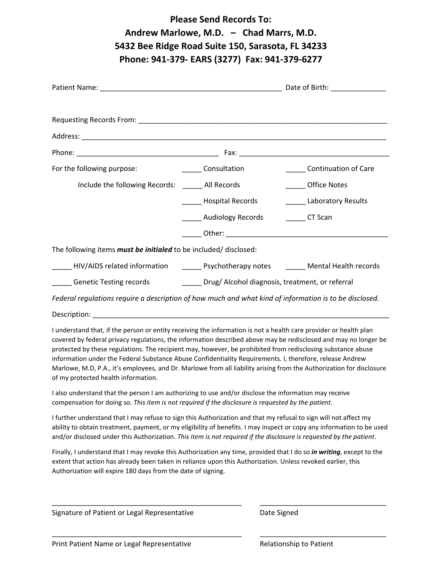| <b>Please Send Records To:</b><br>Andrew Marlowe, M.D. - Chad Marrs, M.D.<br>5432 Bee Ridge Road Suite 150, Sarasota, FL 34233<br>Phone: 941-379- EARS (3277) Fax: 941-379-6277                                                                                                                                                                                                                                                                                                                                                                                                                                                |                                            |                              |  |  |  |  |  |
|--------------------------------------------------------------------------------------------------------------------------------------------------------------------------------------------------------------------------------------------------------------------------------------------------------------------------------------------------------------------------------------------------------------------------------------------------------------------------------------------------------------------------------------------------------------------------------------------------------------------------------|--------------------------------------------|------------------------------|--|--|--|--|--|
|                                                                                                                                                                                                                                                                                                                                                                                                                                                                                                                                                                                                                                |                                            |                              |  |  |  |  |  |
|                                                                                                                                                                                                                                                                                                                                                                                                                                                                                                                                                                                                                                |                                            |                              |  |  |  |  |  |
|                                                                                                                                                                                                                                                                                                                                                                                                                                                                                                                                                                                                                                |                                            |                              |  |  |  |  |  |
|                                                                                                                                                                                                                                                                                                                                                                                                                                                                                                                                                                                                                                |                                            |                              |  |  |  |  |  |
| For the following purpose: _____________________ Consultation                                                                                                                                                                                                                                                                                                                                                                                                                                                                                                                                                                  |                                            | _______ Continuation of Care |  |  |  |  |  |
| Include the following Records: All Records                                                                                                                                                                                                                                                                                                                                                                                                                                                                                                                                                                                     |                                            | Office Notes                 |  |  |  |  |  |
|                                                                                                                                                                                                                                                                                                                                                                                                                                                                                                                                                                                                                                | ______ Hospital Records                    | _______ Laboratory Results   |  |  |  |  |  |
|                                                                                                                                                                                                                                                                                                                                                                                                                                                                                                                                                                                                                                | ______ Audiology Records _________ CT Scan |                              |  |  |  |  |  |
|                                                                                                                                                                                                                                                                                                                                                                                                                                                                                                                                                                                                                                |                                            |                              |  |  |  |  |  |
| The following items must be initialed to be included/ disclosed:                                                                                                                                                                                                                                                                                                                                                                                                                                                                                                                                                               |                                            |                              |  |  |  |  |  |
| _____ HIV/AIDS related information _______ Psychotherapy notes _______ Mental Health records                                                                                                                                                                                                                                                                                                                                                                                                                                                                                                                                   |                                            |                              |  |  |  |  |  |
| Genetic Testing records _______________Drug/ Alcohol diagnosis, treatment, or referral                                                                                                                                                                                                                                                                                                                                                                                                                                                                                                                                         |                                            |                              |  |  |  |  |  |
| Federal regulations require a description of how much and what kind of information is to be disclosed.                                                                                                                                                                                                                                                                                                                                                                                                                                                                                                                         |                                            |                              |  |  |  |  |  |
|                                                                                                                                                                                                                                                                                                                                                                                                                                                                                                                                                                                                                                |                                            |                              |  |  |  |  |  |
| I understand that, if the person or entity receiving the information is not a health care provider or health plan<br>covered by federal privacy regulations, the information described above may be redisclosed and may no longer be<br>protected by these regulations. The recipient may, however, be prohibited from redisclosing substance abuse<br>information under the Federal Substance Abuse Confidentiality Requirements. I, therefore, release Andrew<br>Marlowe, M.D, P.A., it's employees, and Dr. Marlowe from all liability arising from the Authorization for disclosure<br>of my protected health information. |                                            |                              |  |  |  |  |  |
| I also understand that the person I am authorizing to use and/or disclose the information may receive<br>compensation for doing so. This item is not required if the disclosure is requested by the patient.                                                                                                                                                                                                                                                                                                                                                                                                                   |                                            |                              |  |  |  |  |  |
| I further understand that I may refuse to sign this Authorization and that my refusal to sign will not affect my<br>ability to obtain treatment, payment, or my eligibility of benefits. I may inspect or copy any information to be used<br>and/or disclosed under this Authorization. This item is not required if the disclosure is requested by the patient.                                                                                                                                                                                                                                                               |                                            |                              |  |  |  |  |  |
| Finally, I understand that I may revoke this Authorization any time, provided that I do so in writing, except to the<br>extent that action has already been taken in reliance upon this Authorization. Unless revoked earlier, this<br>Authorization will expire 180 days from the date of signing.                                                                                                                                                                                                                                                                                                                            |                                            |                              |  |  |  |  |  |
|                                                                                                                                                                                                                                                                                                                                                                                                                                                                                                                                                                                                                                |                                            |                              |  |  |  |  |  |

ͺͺͺͺͺͺͺͺͺͺͺͺͺͺͺͺͺͺͺͺͺͺͺͺͺͺͺͺͺͺͺͺͺͺͺͺͺͺͺͺͺͺͺͺͺͺͺͺ ͺͺͺͺͺͺͺͺͺͺͺͺͺͺͺͺͺͺͺͺͺͺͺͺͺͺͺͺͺͺͺͺ

Signature of Patient or Legal Representative **Theorem Constructs** Date Signed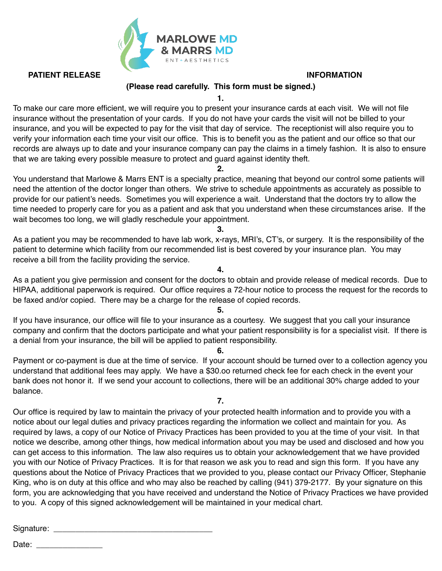

**PATIENT RELEASE INFORMATION** 

#### **(Please read carefully. This form must be signed.)**

**1.**

To make our care more efficient, we will require you to present your insurance cards at each visit. We will not file insurance without the presentation of your cards. If you do not have your cards the visit will not be billed to your insurance, and you will be expected to pay for the visit that day of service. The receptionist will also require you to verify your information each time your visit our office. This is to benefit you as the patient and our office so that our records are always up to date and your insurance company can pay the claims in a timely fashion. It is also to ensure that we are taking every possible measure to protect and guard against identity theft.

**2.**

You understand that Marlowe & Marrs ENT is a specialty practice, meaning that beyond our control some patients will need the attention of the doctor longer than others. We strive to schedule appointments as accurately as possible to provide for our patient's needs. Sometimes you will experience a wait. Understand that the doctors try to allow the time needed to properly care for you as a patient and ask that you understand when these circumstances arise. If the wait becomes too long, we will gladly reschedule your appointment.

**3.**

As a patient you may be recommended to have lab work, x-rays, MRI's, CT's, or surgery. It is the responsibility of the patient to determine which facility from our recommended list is best covered by your insurance plan. You may receive a bill from the facility providing the service.

As a patient you give permission and consent for the doctors to obtain and provide release of medical records. Due to HIPAA, additional paperwork is required. Our office requires a 72-hour notice to process the request for the records to be faxed and/or copied. There may be a charge for the release of copied records.

**4.**

#### **5.**

If you have insurance, our office will file to your insurance as a courtesy. We suggest that you call your insurance company and confirm that the doctors participate and what your patient responsibility is for a specialist visit. If there is a denial from your insurance, the bill will be applied to patient responsibility.

#### **6.**

Payment or co-payment is due at the time of service. If your account should be turned over to a collection agency you understand that additional fees may apply. We have a \$30.oo returned check fee for each check in the event your bank does not honor it. If we send your account to collections, there will be an additional 30% charge added to your balance.

**7.**

Our office is required by law to maintain the privacy of your protected health information and to provide you with a notice about our legal duties and privacy practices regarding the information we collect and maintain for you. As required by laws, a copy of our Notice of Privacy Practices has been provided to you at the time of your visit. In that notice we describe, among other things, how medical information about you may be used and disclosed and how you can get access to this information. The law also requires us to obtain your acknowledgement that we have provided you with our Notice of Privacy Practices. It is for that reason we ask you to read and sign this form. If you have any questions about the Notice of Privacy Practices that we provided to you, please contact our Privacy Officer, Stephanie King, who is on duty at this office and who may also be reached by calling (941) 379-2177. By your signature on this form, you are acknowledging that you have received and understand the Notice of Privacy Practices we have provided to you. A copy of this signed acknowledgement will be maintained in your medical chart.

Signature: \_\_\_\_\_\_\_\_\_\_\_\_\_\_\_\_\_\_\_\_\_\_\_\_\_\_\_\_\_\_\_\_\_\_\_\_

Date: \_\_\_\_\_\_\_\_\_\_\_\_\_\_\_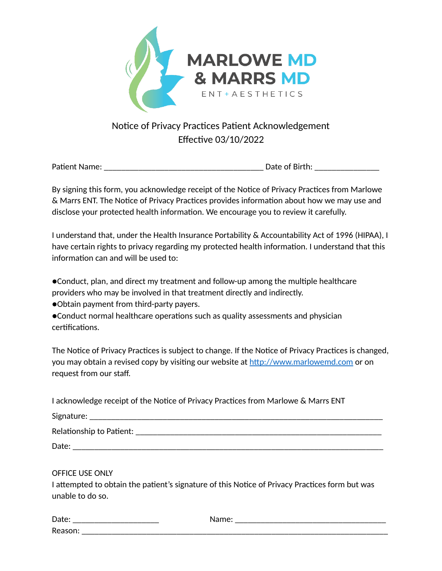

## Notice of Privacy Practices Patient Acknowledgement Effective 03/10/2022

Pa#ent Name: \_\_\_\_\_\_\_\_\_\_\_\_\_\_\_\_\_\_\_\_\_\_\_\_\_\_\_\_\_\_\_\_\_\_\_\_\_ Date of Birth: \_\_\_\_\_\_\_\_\_\_\_\_\_\_\_

By signing this form, you acknowledge receipt of the Notice of Privacy Practices from Marlowe & Marrs ENT. The Notice of Privacy Practices provides information about how we may use and disclose your protected health information. We encourage you to review it carefully.

I understand that, under the Health Insurance Portability & Accountability Act of 1996 (HIPAA), I have certain rights to privacy regarding my protected health information. I understand that this information can and will be used to:

●Conduct, plan, and direct my treatment and follow-up among the multiple healthcare providers who may be involved in that treatment directly and indirectly.

●Obtain payment from third-party payers.

●Conduct normal healthcare operations such as quality assessments and physician certifications.

The Notice of Privacy Practices is subject to change. If the Notice of Privacy Practices is changed, you may obtain a revised copy by visiting our website at http://www.marlowemd.com or on request from our staff.

| I acknowledge receipt of the Notice of Privacy Practices from Marlowe & Marrs ENT                                                     |
|---------------------------------------------------------------------------------------------------------------------------------------|
|                                                                                                                                       |
|                                                                                                                                       |
|                                                                                                                                       |
| OFFICE USE ONLY<br>I attempted to obtain the patient's signature of this Notice of Privacy Practices form but was<br>unable to do so. |
|                                                                                                                                       |

| $\sim$<br>◡<br>. .<br>_ | _ |  |
|-------------------------|---|--|
| D.<br>ັ                 |   |  |